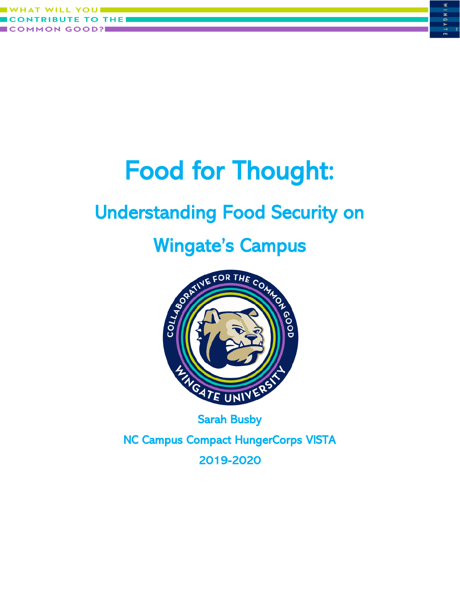



## Understanding Food Security on



NC Campus Compact HungerCorps VISTA 2019-2020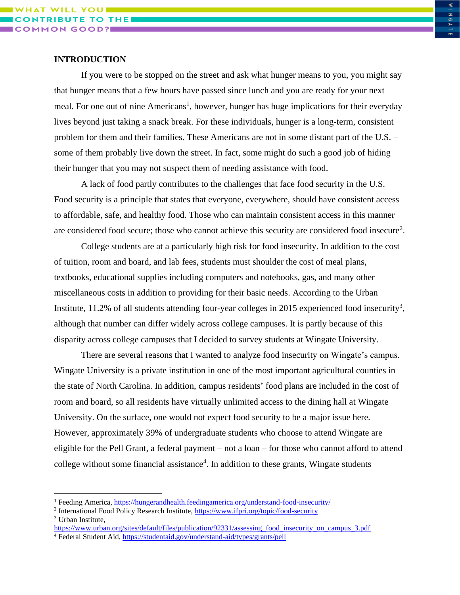### **INTRODUCTION**

If you were to be stopped on the street and ask what hunger means to you, you might say that hunger means that a few hours have passed since lunch and you are ready for your next meal. For one out of nine Americans<sup>1</sup>, however, hunger has huge implications for their everyday lives beyond just taking a snack break. For these individuals, hunger is a long-term, consistent problem for them and their families. These Americans are not in some distant part of the U.S. – some of them probably live down the street. In fact, some might do such a good job of hiding their hunger that you may not suspect them of needing assistance with food.

A lack of food partly contributes to the challenges that face food security in the U.S. Food security is a principle that states that everyone, everywhere, should have consistent access to affordable, safe, and healthy food. Those who can maintain consistent access in this manner are considered food secure; those who cannot achieve this security are considered food insecure<sup>2</sup>.

College students are at a particularly high risk for food insecurity. In addition to the cost of tuition, room and board, and lab fees, students must shoulder the cost of meal plans, textbooks, educational supplies including computers and notebooks, gas, and many other miscellaneous costs in addition to providing for their basic needs. According to the Urban Institute,  $11.2\%$  of all students attending four-year colleges in 2015 experienced food insecurity<sup>3</sup>, although that number can differ widely across college campuses. It is partly because of this disparity across college campuses that I decided to survey students at Wingate University.

There are several reasons that I wanted to analyze food insecurity on Wingate's campus. Wingate University is a private institution in one of the most important agricultural counties in the state of North Carolina. In addition, campus residents' food plans are included in the cost of room and board, so all residents have virtually unlimited access to the dining hall at Wingate University. On the surface, one would not expect food security to be a major issue here. However, approximately 39% of undergraduate students who choose to attend Wingate are eligible for the Pell Grant, a federal payment – not a loan – for those who cannot afford to attend college without some financial assistance<sup>4</sup>. In addition to these grants, Wingate students

<sup>1</sup> Feeding America,<https://hungerandhealth.feedingamerica.org/understand-food-insecurity/>

<sup>&</sup>lt;sup>2</sup> International Food Policy Research Institute,<https://www.ifpri.org/topic/food-security> <sup>3</sup> Urban Institute,

[https://www.urban.org/sites/default/files/publication/92331/assessing\\_food\\_insecurity\\_on\\_campus\\_3.pdf](https://www.urban.org/sites/default/files/publication/92331/assessing_food_insecurity_on_campus_3.pdf)

<sup>4</sup> Federal Student Aid,<https://studentaid.gov/understand-aid/types/grants/pell>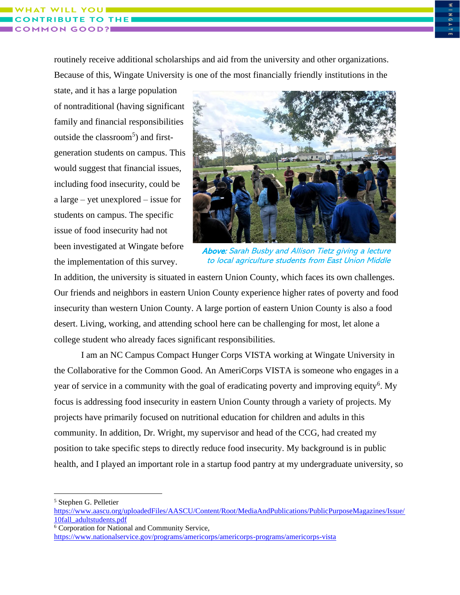**THE** 

routinely receive additional scholarships and aid from the university and other organizations. Because of this, Wingate University is one of the most financially friendly institutions in the

state, and it has a large population of nontraditional (having significant family and financial responsibilities outside the classroom<sup>5</sup>) and firstgeneration students on campus. This would suggest that financial issues, including food insecurity, could be a large – yet unexplored – issue for students on campus. The specific issue of food insecurity had not been investigated at Wingate before the implementation of this survey.



Above: Sarah Busby and Allison Tietz giving a lecture to local agriculture students from East Union Middle

In addition, the university is situated in eastern Union County, which faces its own challenges. Our friends and neighbors in eastern Union County experience higher rates of poverty and food insecurity than western Union County. A large portion of eastern Union County is also a food desert. Living, working, and attending school here can be challenging for most, let alone a college student who already faces significant responsibilities.

I am an NC Campus Compact Hunger Corps VISTA working at Wingate University in the Collaborative for the Common Good. An AmeriCorps VISTA is someone who engages in a year of service in a community with the goal of eradicating poverty and improving equity<sup>6</sup>. My focus is addressing food insecurity in eastern Union County through a variety of projects. My projects have primarily focused on nutritional education for children and adults in this community. In addition, Dr. Wright, my supervisor and head of the CCG, had created my position to take specific steps to directly reduce food insecurity. My background is in public health, and I played an important role in a startup food pantry at my undergraduate university, so

<sup>5</sup> Stephen G. Pelletier

[https://www.aascu.org/uploadedFiles/AASCU/Content/Root/MediaAndPublications/PublicPurposeMagazines/Issue/](https://www.aascu.org/uploadedFiles/AASCU/Content/Root/MediaAndPublications/PublicPurposeMagazines/Issue/10fall_adultstudents.pdf) [10fall\\_adultstudents.pdf](https://www.aascu.org/uploadedFiles/AASCU/Content/Root/MediaAndPublications/PublicPurposeMagazines/Issue/10fall_adultstudents.pdf)

<sup>6</sup> Corporation for National and Community Service,

<https://www.nationalservice.gov/programs/americorps/americorps-programs/americorps-vista>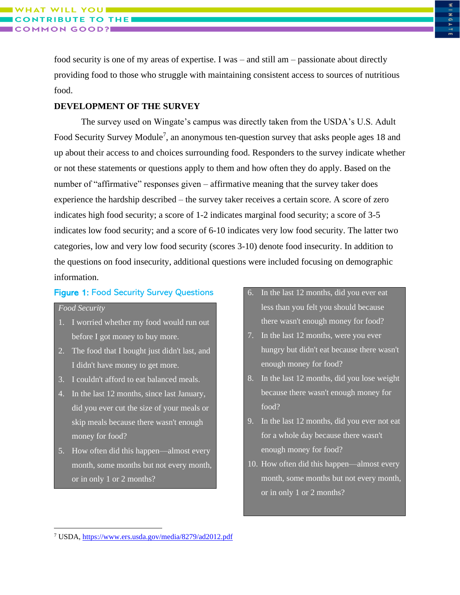food security is one of my areas of expertise. I was – and still am – passionate about directly providing food to those who struggle with maintaining consistent access to sources of nutritious food.

### **DEVELOPMENT OF THE SURVEY**

The survey used on Wingate's campus was directly taken from the USDA's U.S. Adult Food Security Survey Module<sup>7</sup>, an anonymous ten-question survey that asks people ages 18 and up about their access to and choices surrounding food. Responders to the survey indicate whether or not these statements or questions apply to them and how often they do apply. Based on the number of "affirmative" responses given – affirmative meaning that the survey taker does experience the hardship described – the survey taker receives a certain score. A score of zero indicates high food security; a score of 1-2 indicates marginal food security; a score of 3-5 indicates low food security; and a score of 6-10 indicates very low food security. The latter two categories, low and very low food security (scores 3-10) denote food insecurity. In addition to the questions on food insecurity, additional questions were included focusing on demographic information.

### Figure 1: Food Security Survey Questions

### *Food Security*

- 1. I worried whether my food would run out before I got money to buy more.
- 2. The food that I bought just didn't last, and I didn't have money to get more.
- 3. I couldn't afford to eat balanced meals.
- 4. In the last 12 months, since last January, did you ever cut the size of your meals or skip meals because there wasn't enough money for food?
- 5. How often did this happen—almost every month, some months but not every month, or in only 1 or 2 months?
- 6. In the last 12 months, did you ever eat less than you felt you should because there wasn't enough money for food?
- 7. In the last 12 months, were you ever hungry but didn't eat because there wasn't enough money for food?
- 8. In the last 12 months, did you lose weight because there wasn't enough money for food?
- 9. In the last 12 months, did you ever not eat for a whole day because there wasn't enough money for food?
- 10. How often did this happen—almost every month, some months but not every month, or in only 1 or 2 months?

<sup>7</sup> USDA,<https://www.ers.usda.gov/media/8279/ad2012.pdf>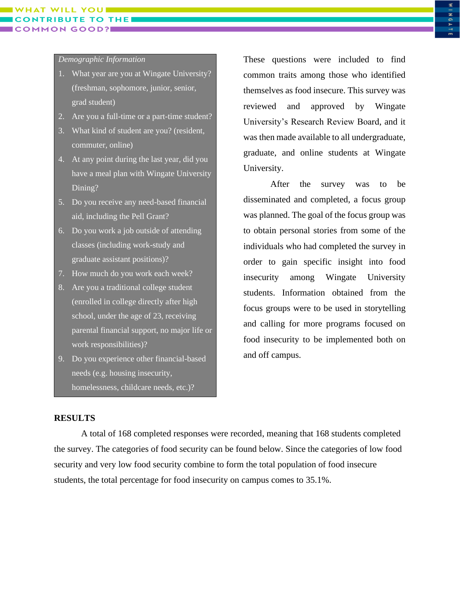# **THE**

### *Demographic Information*

- 1. What year are you at Wingate University? (freshman, sophomore, junior, senior, grad student)
- 2. Are you a full-time or a part-time student?
- 3. What kind of student are you? (resident, commuter, online)
- 4. At any point during the last year, did you have a meal plan with Wingate University Dining?
- 5. Do you receive any need-based financial aid, including the Pell Grant?
- 6. Do you work a job outside of attending classes (including work-study and graduate assistant positions)?
- 7. How much do you work each week?
- 8. Are you a traditional college student (enrolled in college directly after high school, under the age of 23, receiving parental financial support, no major life or work responsibilities)?
- 9. Do you experience other financial-based needs (e.g. housing insecurity, homelessness, childcare needs, etc.)?

These questions were included to find common traits among those who identified themselves as food insecure. This survey was reviewed and approved by Wingate University's Research Review Board, and it was then made available to all undergraduate, graduate, and online students at Wingate University.

After the survey was to be disseminated and completed, a focus group was planned. The goal of the focus group was to obtain personal stories from some of the individuals who had completed the survey in order to gain specific insight into food insecurity among Wingate University students. Information obtained from the focus groups were to be used in storytelling and calling for more programs focused on food insecurity to be implemented both on and off campus.

### **RESULTS**

A total of 168 completed responses were recorded, meaning that 168 students completed the survey. The categories of food security can be found below. Since the categories of low food security and very low food security combine to form the total population of food insecure students, the total percentage for food insecurity on campus comes to 35.1%.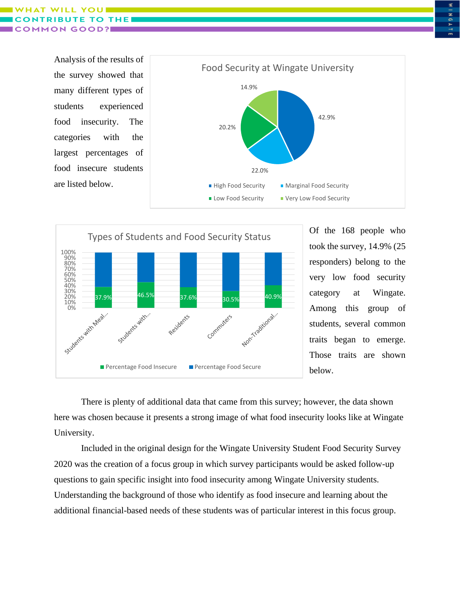WHAT **THE** GOOD?

> Analysis of the results of the survey showed that many different types of students experienced food insecurity. The categories with the largest percentages of food insecure students are listed below.





Of the 168 people who took the survey, 14.9% (25 responders) belong to the very low food security category at Wingate. Among this group of students, several common traits began to emerge. Those traits are shown below.

There is plenty of additional data that came from this survey; however, the data shown here was chosen because it presents a strong image of what food insecurity looks like at Wingate University.

Included in the original design for the Wingate University Student Food Security Survey 2020 was the creation of a focus group in which survey participants would be asked follow-up questions to gain specific insight into food insecurity among Wingate University students. Understanding the background of those who identify as food insecure and learning about the additional financial-based needs of these students was of particular interest in this focus group.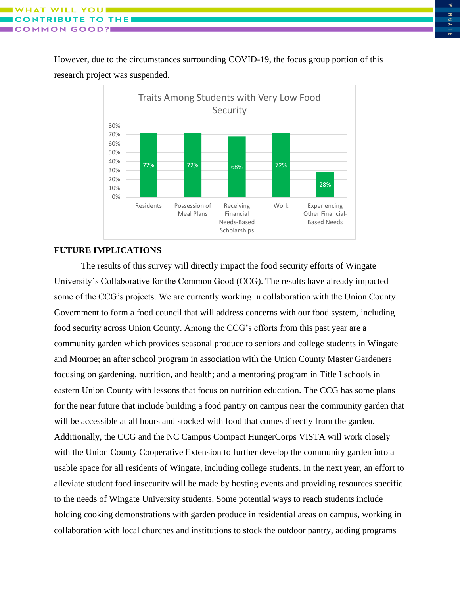However, due to the circumstances surrounding COVID-19, the focus group portion of this research project was suspended.



### **FUTURE IMPLICATIONS**

The results of this survey will directly impact the food security efforts of Wingate University's Collaborative for the Common Good (CCG). The results have already impacted some of the CCG's projects. We are currently working in collaboration with the Union County Government to form a food council that will address concerns with our food system, including food security across Union County. Among the CCG's efforts from this past year are a community garden which provides seasonal produce to seniors and college students in Wingate and Monroe; an after school program in association with the Union County Master Gardeners focusing on gardening, nutrition, and health; and a mentoring program in Title I schools in eastern Union County with lessons that focus on nutrition education. The CCG has some plans for the near future that include building a food pantry on campus near the community garden that will be accessible at all hours and stocked with food that comes directly from the garden. Additionally, the CCG and the NC Campus Compact HungerCorps VISTA will work closely with the Union County Cooperative Extension to further develop the community garden into a usable space for all residents of Wingate, including college students. In the next year, an effort to alleviate student food insecurity will be made by hosting events and providing resources specific to the needs of Wingate University students. Some potential ways to reach students include holding cooking demonstrations with garden produce in residential areas on campus, working in collaboration with local churches and institutions to stock the outdoor pantry, adding programs